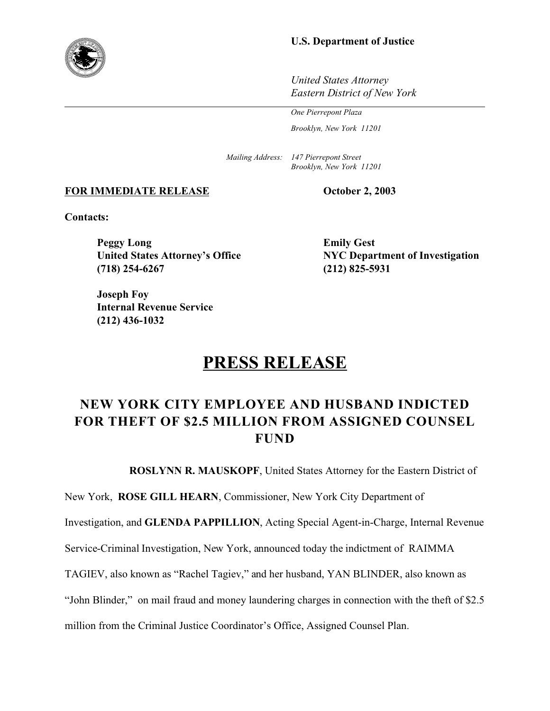## **U.S. Department of Justice**

*United States Attorney Eastern District of New York*

*One Pierrepont Plaza*

*Brooklyn, New York 11201*

*Mailing Address: 147 Pierrepont Street Brooklyn, New York 11201*

### **FOR IMMEDIATE RELEASE October 2, 2003**

**Contacts:**

**Peggy Long Emily Gest (718) 254-6267 (212) 825-5931**

**Joseph Foy Internal Revenue Service (212) 436-1032**

**United States Attorney's Office NYC Department of Investigation**

# **PRESS RELEASE**

## **NEW YORK CITY EMPLOYEE AND HUSBAND INDICTED FOR THEFT OF \$2.5 MILLION FROM ASSIGNED COUNSEL FUND**

**ROSLYNN R. MAUSKOPF**, United States Attorney for the Eastern District of

New York, **ROSE GILL HEARN**, Commissioner, New York City Department of

Investigation, and **GLENDA PAPPILLION**, Acting Special Agent-in-Charge, Internal Revenue

Service-Criminal Investigation, New York, announced today the indictment of RAIMMA

TAGIEV, also known as "Rachel Tagiev," and her husband, YAN BLINDER, also known as

"John Blinder," on mail fraud and money laundering charges in connection with the theft of \$2.5

million from the Criminal Justice Coordinator's Office, Assigned Counsel Plan.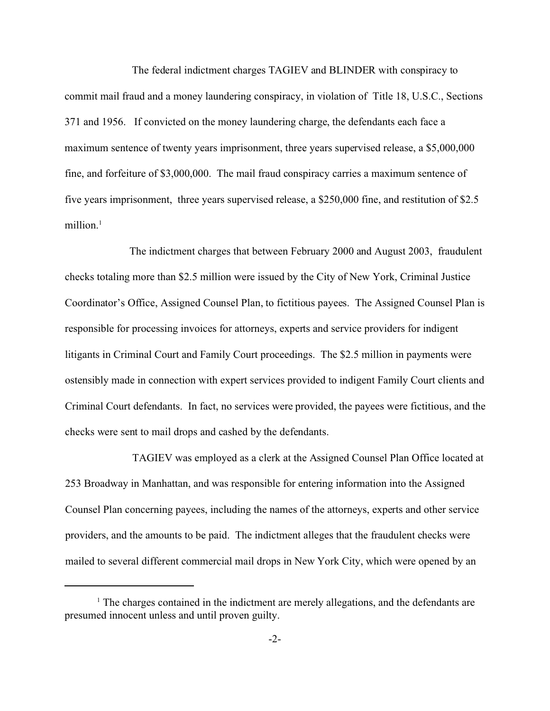The federal indictment charges TAGIEV and BLINDER with conspiracy to commit mail fraud and a money laundering conspiracy, in violation of Title 18, U.S.C., Sections 371 and 1956. If convicted on the money laundering charge, the defendants each face a maximum sentence of twenty years imprisonment, three years supervised release, a \$5,000,000 fine, and forfeiture of \$3,000,000. The mail fraud conspiracy carries a maximum sentence of five years imprisonment, three years supervised release, a \$250,000 fine, and restitution of \$2.5 million.<sup>1</sup>

The indictment charges that between February 2000 and August 2003, fraudulent checks totaling more than \$2.5 million were issued by the City of New York, Criminal Justice Coordinator's Office, Assigned Counsel Plan, to fictitious payees. The Assigned Counsel Plan is responsible for processing invoices for attorneys, experts and service providers for indigent litigants in Criminal Court and Family Court proceedings. The \$2.5 million in payments were ostensibly made in connection with expert services provided to indigent Family Court clients and Criminal Court defendants. In fact, no services were provided, the payees were fictitious, and the checks were sent to mail drops and cashed by the defendants.

 TAGIEV was employed as a clerk at the Assigned Counsel Plan Office located at 253 Broadway in Manhattan, and was responsible for entering information into the Assigned Counsel Plan concerning payees, including the names of the attorneys, experts and other service providers, and the amounts to be paid. The indictment alleges that the fraudulent checks were mailed to several different commercial mail drops in New York City, which were opened by an

<sup>&</sup>lt;sup>1</sup> The charges contained in the indictment are merely allegations, and the defendants are presumed innocent unless and until proven guilty.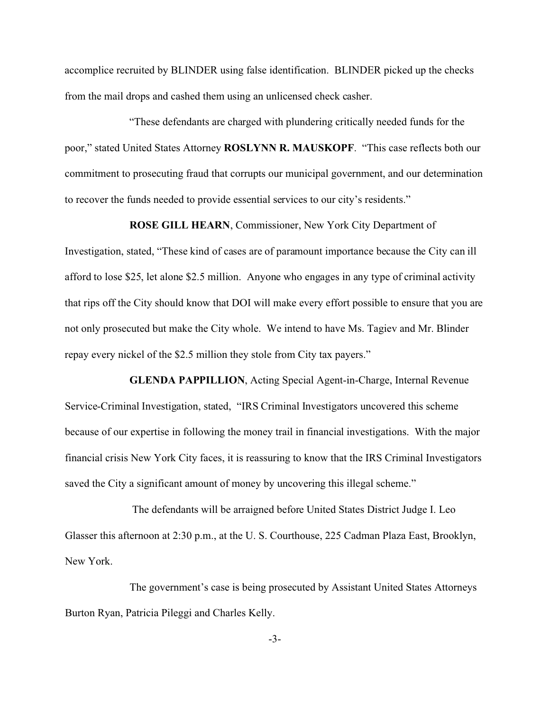accomplice recruited by BLINDER using false identification. BLINDER picked up the checks from the mail drops and cashed them using an unlicensed check casher.

"These defendants are charged with plundering critically needed funds for the poor," stated United States Attorney **ROSLYNN R. MAUSKOPF**. "This case reflects both our commitment to prosecuting fraud that corrupts our municipal government, and our determination to recover the funds needed to provide essential services to our city's residents."

**ROSE GILL HEARN**, Commissioner, New York City Department of

Investigation, stated, "These kind of cases are of paramount importance because the City can ill afford to lose \$25, let alone \$2.5 million. Anyone who engages in any type of criminal activity that rips off the City should know that DOI will make every effort possible to ensure that you are not only prosecuted but make the City whole. We intend to have Ms. Tagiev and Mr. Blinder repay every nickel of the \$2.5 million they stole from City tax payers."

**GLENDA PAPPILLION**, Acting Special Agent-in-Charge, Internal Revenue Service-Criminal Investigation, stated, "IRS Criminal Investigators uncovered this scheme because of our expertise in following the money trail in financial investigations. With the major financial crisis New York City faces, it is reassuring to know that the IRS Criminal Investigators saved the City a significant amount of money by uncovering this illegal scheme."

The defendants will be arraigned before United States District Judge I. Leo Glasser this afternoon at 2:30 p.m., at the U. S. Courthouse, 225 Cadman Plaza East, Brooklyn, New York.

The government's case is being prosecuted by Assistant United States Attorneys Burton Ryan, Patricia Pileggi and Charles Kelly.

-3-